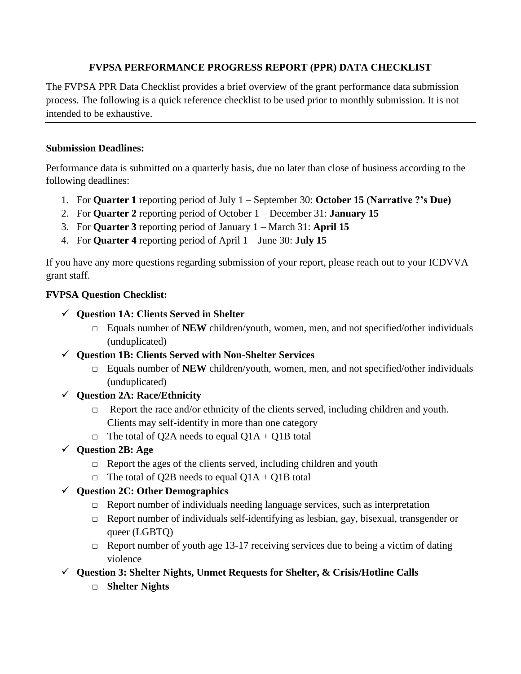#### **FVPSA PERFORMANCE PROGRESS REPORT (PPR) DATA CHECKLIST**

The FVPSA PPR Data Checklist provides a brief overview of the grant performance data submission process. The following is a quick reference checklist to be used prior to monthly submission. It is not intended to be exhaustive.

#### **Submission Deadlines:**

Performance data is submitted on a quarterly basis, due no later than close of business according to the following deadlines:

- 1. For **Quarter 1** reporting period of July 1 September 30: **October 15 (Narrative ?'s Due)**
- 2. For **Quarter 2** reporting period of October 1 December 31: **January 15**
- 3. For **Quarter 3** reporting period of January 1 March 31: **April 15**
- 4. For **Quarter 4** reporting period of April 1 June 30: **July 15**

If you have any more questions regarding submission of your report, please reach out to your ICDVVA grant staff.

#### **FVPSA Question Checklist:**

- ✓ **Question 1A: Clients Served in Shelter**
	- $\Box$  Equals number of **NEW** children/youth, women, men, and not specified/other individuals (unduplicated)
- ✓ **Question 1B: Clients Served with Non-Shelter Services**
	- $\Box$  Equals number of **NEW** children/youth, women, men, and not specified/other individuals (unduplicated)

#### ✓ **Question 2A: Race/Ethnicity**

- $\Box$  Report the race and/or ethnicity of the clients served, including children and youth. Clients may self-identify in more than one category
- $\Box$  The total of Q2A needs to equal Q1A + Q1B total
- ✓ **Question 2B: Age**
	- $\Box$  Report the ages of the clients served, including children and youth
	- $\Box$  The total of Q2B needs to equal Q1A + Q1B total

#### ✓ **Question 2C: Other Demographics**

- □ Report number of individuals needing language services, such as interpretation
- □ Report number of individuals self-identifying as lesbian, gay, bisexual, transgender or queer (LGBTQ)
- $\Box$  Report number of youth age 13-17 receiving services due to being a victim of dating violence
- ✓ **Question 3: Shelter Nights, Unmet Requests for Shelter, & Crisis/Hotline Calls**
	- □ **Shelter Nights**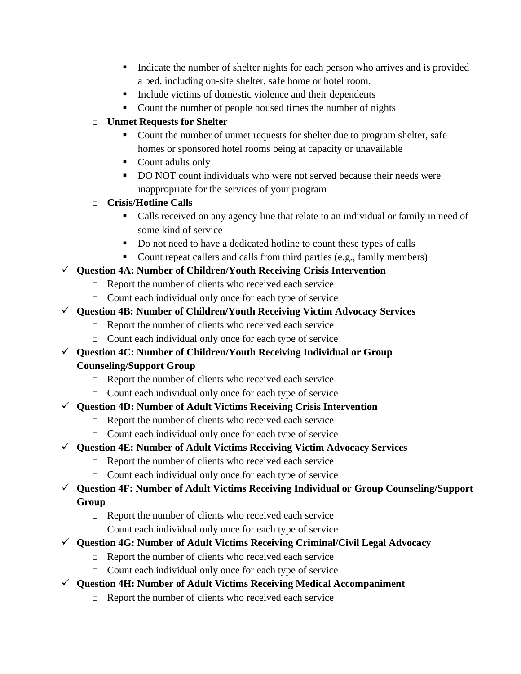- Indicate the number of shelter nights for each person who arrives and is provided a bed, including on-site shelter, safe home or hotel room.
- Include victims of domestic violence and their dependents
- Count the number of people housed times the number of nights

### □ **Unmet Requests for Shelter**

- Count the number of unmet requests for shelter due to program shelter, safe homes or sponsored hotel rooms being at capacity or unavailable
- Count adults only
- DO NOT count individuals who were not served because their needs were inappropriate for the services of your program

# □ **Crisis/Hotline Calls**

- Calls received on any agency line that relate to an individual or family in need of some kind of service
- Do not need to have a dedicated hotline to count these types of calls
- Count repeat callers and calls from third parties (e.g., family members)

# ✓ **Question 4A: Number of Children/Youth Receiving Crisis Intervention**

- $\Box$  Report the number of clients who received each service
- □ Count each individual only once for each type of service

## ✓ **Question 4B: Number of Children/Youth Receiving Victim Advocacy Services**

- $\Box$  Report the number of clients who received each service
- □ Count each individual only once for each type of service
- ✓ **Question 4C: Number of Children/Youth Receiving Individual or Group Counseling/Support Group**
	- □ Report the number of clients who received each service
	- □ Count each individual only once for each type of service

## ✓ **Question 4D: Number of Adult Victims Receiving Crisis Intervention**

- □ Report the number of clients who received each service
- □ Count each individual only once for each type of service

## ✓ **Question 4E: Number of Adult Victims Receiving Victim Advocacy Services**

- $\Box$  Report the number of clients who received each service
- □ Count each individual only once for each type of service

# ✓ **Question 4F: Number of Adult Victims Receiving Individual or Group Counseling/Support Group**

- $\Box$  Report the number of clients who received each service
- □ Count each individual only once for each type of service
- ✓ **Question 4G: Number of Adult Victims Receiving Criminal/Civil Legal Advocacy**
	- $\Box$  Report the number of clients who received each service
	- □ Count each individual only once for each type of service
- ✓ **Question 4H: Number of Adult Victims Receiving Medical Accompaniment**
	- □ Report the number of clients who received each service